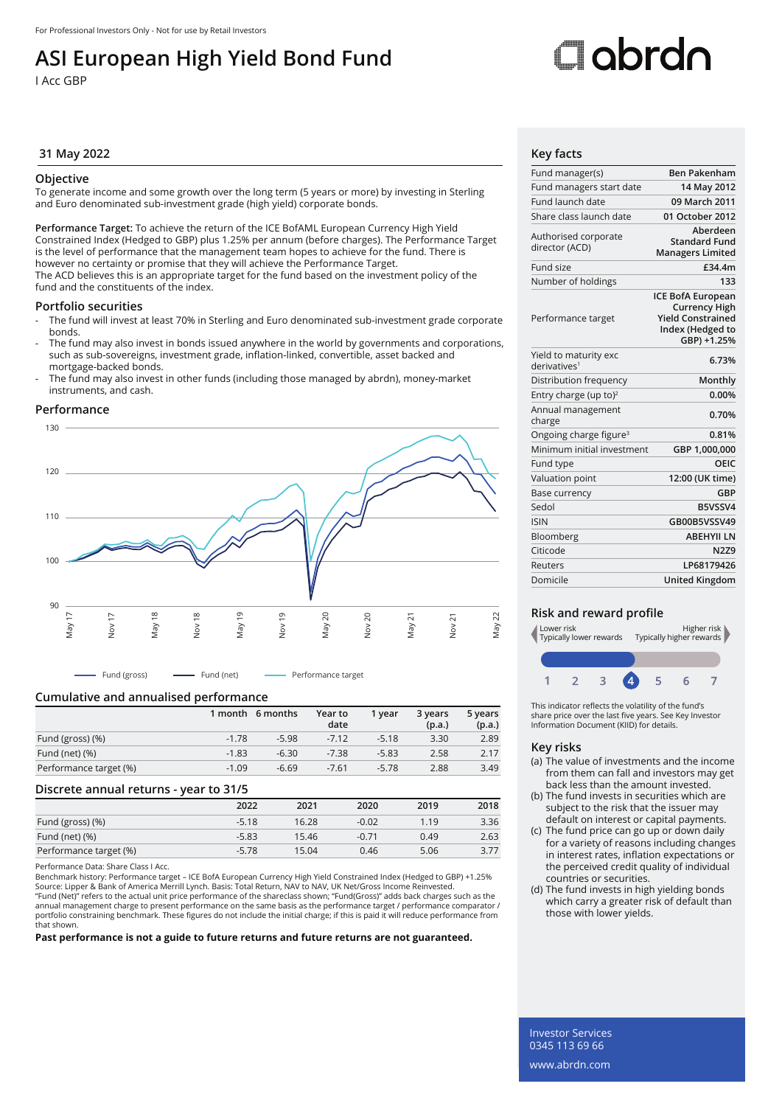## **ASI European High Yield Bond Fund**

I Acc GBP

# Oobrdo

### **31 May 2022 Key facts**

#### **Objective**

To generate income and some growth over the long term (5 years or more) by investing in Sterling and Euro denominated sub-investment grade (high yield) corporate bonds.

**Performance Target:** To achieve the return of the ICE BofAML European Currency High Yield Constrained Index (Hedged to GBP) plus 1.25% per annum (before charges). The Performance Target is the level of performance that the management team hopes to achieve for the fund. There is however no certainty or promise that they will achieve the Performance Target. The ACD believes this is an appropriate target for the fund based on the investment policy of the fund and the constituents of the index.

#### **Portfolio securities**

- The fund will invest at least 70% in Sterling and Euro denominated sub-investment grade corporate bonds.
- The fund may also invest in bonds issued anywhere in the world by governments and corporations, such as sub-sovereigns, investment grade, inflation-linked, convertible, asset backed and mortgage-backed bonds.
- The fund may also invest in other funds (including those managed by abrdn), money-market instruments, and cash.

#### **Performance**



- Fund (gross) ---- Fund (net) --- Performance target

#### **Cumulative and annualised performance**

|                        |         | 1 month 6 months | Year to<br>date | 1 vear  | 3 years<br>(p.a.) | 5 years<br>(p.a.) |
|------------------------|---------|------------------|-----------------|---------|-------------------|-------------------|
| Fund (gross) (%)       | $-1.78$ | $-5.98$          | $-7.12$         | $-5.18$ | 3.30              | 2.89              |
| Fund (net) $(\%)$      | $-1.83$ | $-6.30$          | $-7.38$         | $-5.83$ | 2.58              | 2.17              |
| Performance target (%) | $-1.09$ | $-6.69$          | $-7.61$         | $-5.78$ | 2.88              | 3.49              |

#### **Discrete annual returns - year to 31/5**

|                        | 2022    | 2021  | 2020    | 2019 | 2018 |
|------------------------|---------|-------|---------|------|------|
| Fund (gross) (%)       | $-5.18$ | 16.28 | $-0.02$ | 1.19 | 3.36 |
| Fund (net) $(\%)$      | $-5.83$ | 15.46 | $-0.71$ | 0.49 | 2.63 |
| Performance target (%) | $-5.78$ | 15.04 | 0.46    | 5.06 | 3.77 |

Performance Data: Share Class I Acc.

Benchmark history: Performance target – ICE BofA European Currency High Yield Constrained Index (Hedged to GBP) +1.25% Source: Lipper & Bank of America Merrill Lynch. Basis: Total Return, NAV to NAV, UK Net/Gross Income Reinvested.<br>"Fund (Net)" refers to the actual unit price performance of the shareclass shown; "Fund(Gross)" adds back cha annual management charge to present performance on the same basis as the performance target / performance comparator /<br>portfolio constraining benchmark. These figures do not include the initial charge; if this is paid it w that shown.

**Past performance is not a guide to future returns and future returns are not guaranteed.**

| Fund manager(s)                                   | <b>Ben Pakenham</b>                                                                                             |
|---------------------------------------------------|-----------------------------------------------------------------------------------------------------------------|
| Fund managers start date                          | 14 May 2012                                                                                                     |
| Fund launch date                                  | 09 March 2011                                                                                                   |
| Share class launch date                           | 01 October 2012                                                                                                 |
| Authorised corporate<br>director (ACD)            | Aberdeen<br><b>Standard Fund</b><br><b>Managers Limited</b>                                                     |
| Fund size                                         | £34.4m                                                                                                          |
| Number of holdings                                | 133                                                                                                             |
| Performance target                                | <b>ICE BofA European</b><br><b>Currency High</b><br><b>Yield Constrained</b><br>Index (Hedged to<br>GBP) +1.25% |
| Yield to maturity exc<br>derivatives <sup>1</sup> | 6.73%                                                                                                           |
| Distribution frequency                            | Monthly                                                                                                         |
| Entry charge (up to) <sup>2</sup>                 | 0.00%                                                                                                           |
| Annual management<br>charge                       | 0.70%                                                                                                           |
| Ongoing charge figure <sup>3</sup>                | 0.81%                                                                                                           |
| Minimum initial investment                        | GBP 1,000,000                                                                                                   |
| Fund type                                         | OFIC                                                                                                            |
| Valuation point                                   | 12:00 (UK time)                                                                                                 |
| Base currency                                     | <b>GBP</b>                                                                                                      |
| Sedol                                             | B5VSSV4                                                                                                         |
| <b>ISIN</b>                                       | GB00B5VSSV49                                                                                                    |
| Bloomberg                                         | <b>ABEHYII LN</b>                                                                                               |
| Citicode                                          | <b>N2Z9</b>                                                                                                     |
| Reuters                                           | I P68179426                                                                                                     |
| Domicile                                          | <b>United Kingdom</b>                                                                                           |

#### **Risk and reward profile**



This indicator reflects the volatility of the fund's share price over the last five years. See Key Investor Information Document (KIID) for details.

#### **Key risks**

- (a) The value of investments and the income from them can fall and investors may get back less than the amount invested.
- (b) The fund invests in securities which are subject to the risk that the issuer may default on interest or capital payments.
- (c) The fund price can go up or down daily for a variety of reasons including changes in interest rates, inflation expectations or the perceived credit quality of individual countries or securities.
- (d) The fund invests in high yielding bonds which carry a greater risk of default than those with lower yields.

Investor Services 0345 113 69 66 www.abrdn.com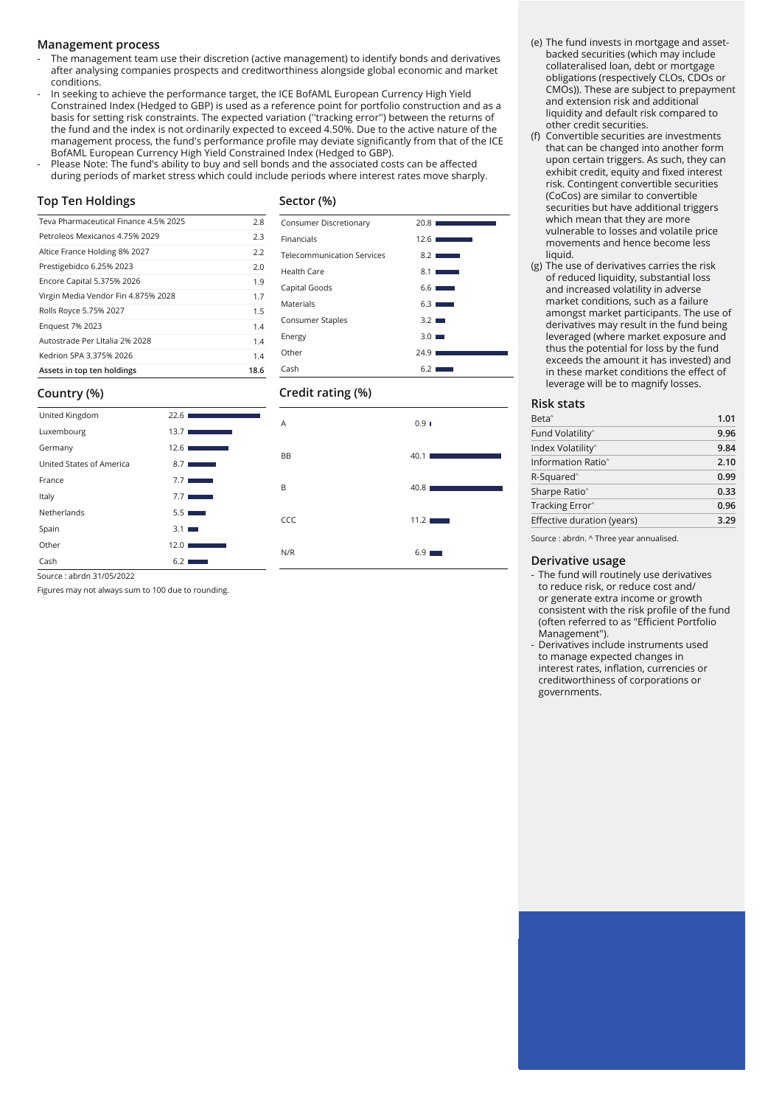#### **Management process**

- The management team use their discretion (active management) to identify bonds and derivatives after analysing companies prospects and creditworthiness alongside global economic and market conditions.
- In seeking to achieve the performance target, the ICE BofAML European Currency High Yield Constrained Index (Hedged to GBP) is used as a reference point for portfolio construction and as a basis for setting risk constraints. The expected variation (''tracking error'') between the returns of the fund and the index is not ordinarily expected to exceed 4.50%. Due to the active nature of the management process, the fund's performance profile may deviate significantly from that of the ICE BofAML European Currency High Yield Constrained Index (Hedged to GBP).
- Please Note: The fund's ability to buy and sell bonds and the associated costs can be affected during periods of market stress which could include periods where interest rates move sharply.

#### **Top Ten Holdings**

#### **Sector (%)**

**Credit rating (%)**

Consumer Discretionary 20.8 Financials 12.6 Telecommunication Services 8.2 Health Care  $8.1 \blacksquare$ Capital Goods 6.6 Materials 6.3 Consumer Staples 3.2 Energy 3.0 Other 24.9  $Cash$  6.2

| Teva Pharmaceutical Finance 4.5% 2025 | 2.8  |
|---------------------------------------|------|
| Petroleos Mexicanos 4.75% 2029        | 2.3  |
| Altice France Holding 8% 2027         | 2.2  |
| Prestigebidco 6.25% 2023              | 2.0  |
| Encore Capital 5.375% 2026            | 1.9  |
| Virgin Media Vendor Fin 4.875% 2028   | 1.7  |
| Rolls Royce 5.75% 2027                | 1.5  |
| <b>Enguest 7% 2023</b>                | 1.4  |
| Autostrade Per Litalia 2% 2028        | 1.4  |
| Kedrion SPA 3.375% 2026               | 1.4  |
| Assets in top ten holdings            | 18.6 |

#### **Country (%)**

| United Kingdom           | 22.61                                                | A         | 0.9 I |
|--------------------------|------------------------------------------------------|-----------|-------|
| Luxembourg               | 13.7 <sub>1</sub><br>the contract of the contract of |           |       |
| Germany                  | 12.6<br>the control of the control of                | <b>BB</b> | 40.1  |
| United States of America | $8.7$ $\blacksquare$                                 |           |       |
| France                   | 7.7 <sub>1</sub><br>a sa salawan                     | B         | 40.8  |
| Italy                    | 7.7                                                  |           |       |
| Netherlands              | 5.5                                                  | CCC       | 11.2  |
| Spain                    | 3.1                                                  |           |       |
| Other                    | 12.01                                                | N/R       | 6.9   |
| Cash                     | 6.2                                                  |           |       |

(e) The fund invests in mortgage and assetbacked securities (which may include collateralised loan, debt or mortgage obligations (respectively CLOs, CDOs or CMOs)). These are subject to prepayment and extension risk and additional liquidity and default risk compared to other credit securities.

- (f) Convertible securities are investments that can be changed into another form upon certain triggers. As such, they can exhibit credit, equity and fixed interest risk. Contingent convertible securities (CoCos) are similar to convertible securities but have additional triggers which mean that they are more vulnerable to losses and volatile price movements and hence become less liquid.
- (g) The use of derivatives carries the risk of reduced liquidity, substantial loss and increased volatility in adverse market conditions, such as a failure amongst market participants. The use of derivatives may result in the fund being leveraged (where market exposure and thus the potential for loss by the fund exceeds the amount it has invested) and in these market conditions the effect of leverage will be to magnify losses.

#### **Risk stats**

| 9.96 |
|------|
| 9.84 |
| 2.10 |
| 0.99 |
| 0.33 |
| 0.96 |
| 3.29 |
|      |

Source : abrdn. ^ Three year annualised.

#### **Derivative usage**

- The fund will routinely use derivatives to reduce risk, or reduce cost and/ or generate extra income or growth consistent with the risk profile of the fund (often referred to as "Efficient Portfolio Management").
- Derivatives include instruments used to manage expected changes in interest rates, inflation, currencies or creditworthiness of corporations or governments.

#### Source : abrdn 31/05/2022

Figures may not always sum to 100 due to rounding.